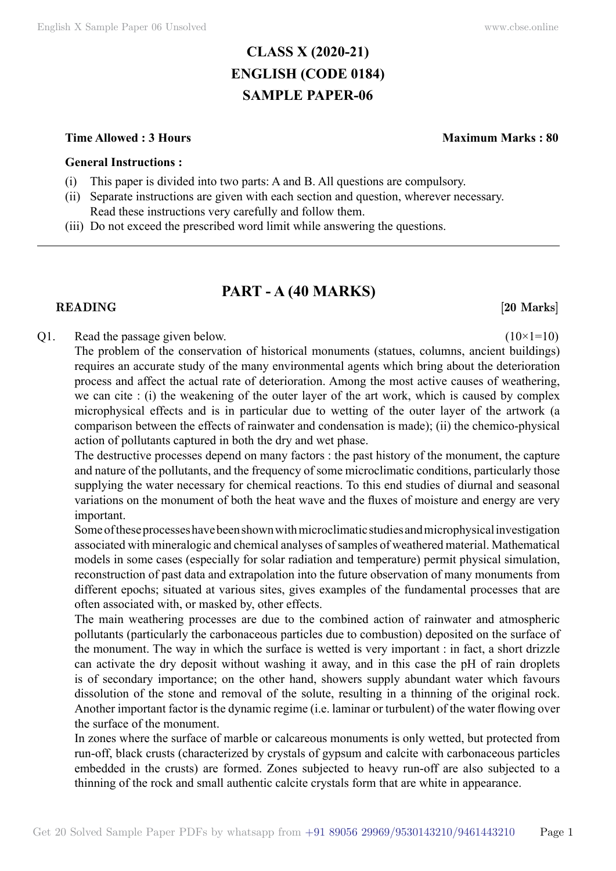# **CLASS X (2020-21) ENGLISH (CODE 0184) SAMPLE PAPER-06**

#### **Time Allowed : 3 Hours Maximum Marks : 80**

#### **General Instructions :**

- (i) This paper is divided into two parts: A and B. All questions are compulsory.
- (ii) Separate instructions are given with each section and question, wherever necessary. Read these instructions very carefully and follow them.
- (iii) Do not exceed the prescribed word limit while answering the questions.

# **PART - A (40 Marks)**

#### **READING** [20 Marks]

#### Q1. Read the passage given below.  $(10 \times 1=10)$

The problem of the conservation of historical monuments (statues, columns, ancient buildings) requires an accurate study of the many environmental agents which bring about the deterioration process and affect the actual rate of deterioration. Among the most active causes of weathering, we can cite : (i) the weakening of the outer layer of the art work, which is caused by complex microphysical effects and is in particular due to wetting of the outer layer of the artwork (a comparison between the effects of rainwater and condensation is made); (ii) the chemico-physical action of pollutants captured in both the dry and wet phase.

The destructive processes depend on many factors : the past history of the monument, the capture and nature of the pollutants, and the frequency of some microclimatic conditions, particularly those supplying the water necessary for chemical reactions. To this end studies of diurnal and seasonal variations on the monument of both the heat wave and the fluxes of moisture and energy are very important.

Some of these processes have been shown with microclimatic studies and microphysical investigation associated with mineralogic and chemical analyses of samples of weathered material. Mathematical models in some cases (especially for solar radiation and temperature) permit physical simulation, reconstruction of past data and extrapolation into the future observation of many monuments from different epochs; situated at various sites, gives examples of the fundamental processes that are often associated with, or masked by, other effects.

The main weathering processes are due to the combined action of rainwater and atmospheric pollutants (particularly the carbonaceous particles due to combustion) deposited on the surface of the monument. The way in which the surface is wetted is very important : in fact, a short drizzle can activate the dry deposit without washing it away, and in this case the pH of rain droplets is of secondary importance; on the other hand, showers supply abundant water which favours dissolution of the stone and removal of the solute, resulting in a thinning of the original rock. Another important factor is the dynamic regime (i.e. laminar or turbulent) of the water flowing over the surface of the monument.

In zones where the surface of marble or calcareous monuments is only wetted, but protected from run-off, black crusts (characterized by crystals of gypsum and calcite with carbonaceous particles embedded in the crusts) are formed. Zones subjected to heavy run-off are also subjected to a thinning of the rock and small authentic calcite crystals form that are white in appearance.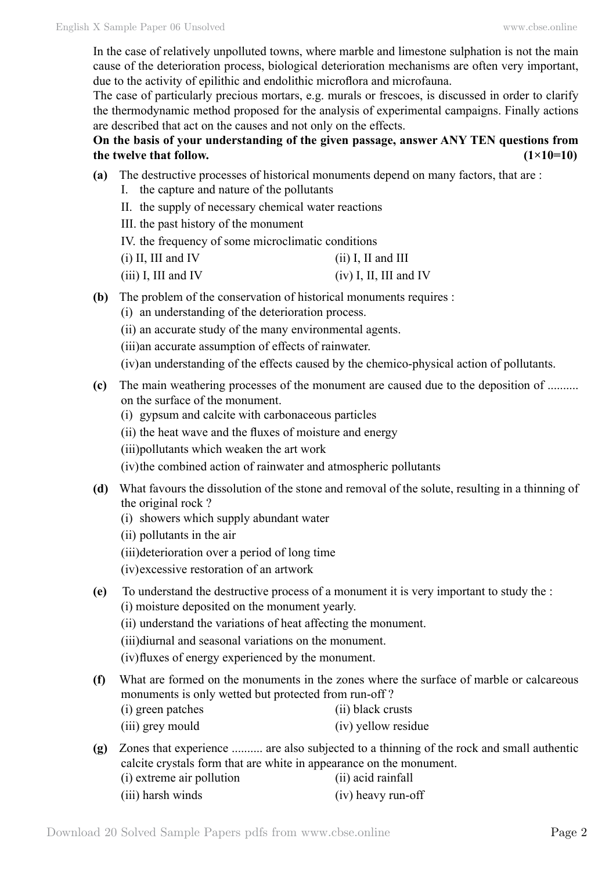In the case of relatively unpolluted towns, where marble and limestone sulphation is not the main cause of the deterioration process, biological deterioration mechanisms are often very important, due to the activity of epilithic and endolithic microflora and microfauna.

The case of particularly precious mortars, e.g. murals or frescoes, is discussed in order to clarify the thermodynamic method proposed for the analysis of experimental campaigns. Finally actions are described that act on the causes and not only on the effects.

## **On the basis of your understanding of the given passage, answer ANY TEN questions from**  the twelve that follow.  $(1\times10=10)$

- **(a)** The destructive processes of historical monuments depend on many factors, that are :
	- I. the capture and nature of the pollutants
	- II. the supply of necessary chemical water reactions
	- III. the past history of the monument
	- IV. the frequency of some microclimatic conditions
	- (i) II, III and IV (ii) I, II and III
	- (iii) I, III and IV (iv) I, II, III and IV
- **(b)** The problem of the conservation of historical monuments requires :
	- (i) an understanding of the deterioration process.
	- (ii) an accurate study of the many environmental agents.
	- (iii)an accurate assumption of effects of rainwater.
	- (iv)an understanding of the effects caused by the chemico-physical action of pollutants.
- **(c)** The main weathering processes of the monument are caused due to the deposition of .......... on the surface of the monument.
	- (i) gypsum and calcite with carbonaceous particles
	- (ii) the heat wave and the fluxes of moisture and energy
	- (iii)pollutants which weaken the art work
	- (iv)the combined action of rainwater and atmospheric pollutants
- **(d)** What favours the dissolution of the stone and removal of the solute, resulting in a thinning of the original rock ?
	- (i) showers which supply abundant water
	- (ii) pollutants in the air
	- (iii)deterioration over a period of long time
	- (iv)excessive restoration of an artwork
- **(e)** To understand the destructive process of a monument it is very important to study the : (i) moisture deposited on the monument yearly.
	- (ii) understand the variations of heat affecting the monument.
	- (iii)diurnal and seasonal variations on the monument.
	- (iv)fluxes of energy experienced by the monument.
- **(f)** What are formed on the monuments in the zones where the surface of marble or calcareous monuments is only wetted but protected from run-off ?
	- (i) green patches (ii) black crusts
	- (iii) grey mould (iv) yellow residue
- **(g)** Zones that experience .......... are also subjected to a thinning of the rock and small authentic calcite crystals form that are white in appearance on the monument. (i) extreme air pollution (ii) acid rainfall
	- (iii) harsh winds (iv) heavy run-off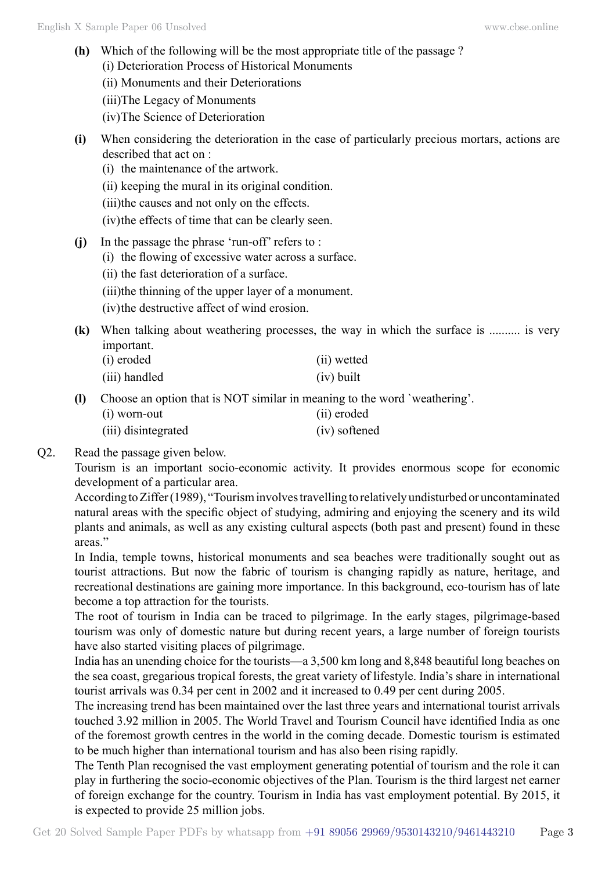- **(h)** Which of the following will be the most appropriate title of the passage ? (i) Deterioration Process of Historical Monuments
	- (ii) Monuments and their Deteriorations
	- (iii)The Legacy of Monuments
	- (iv)The Science of Deterioration
- **(i)** When considering the deterioration in the case of particularly precious mortars, actions are described that act on :
	- (i) the maintenance of the artwork.
	- (ii) keeping the mural in its original condition.
	- (iii)the causes and not only on the effects.
	- (iv)the effects of time that can be clearly seen.
- **(j)** In the passage the phrase 'run-off' refers to :
	- (i) the flowing of excessive water across a surface.
	- (ii) the fast deterioration of a surface.
	- (iii)the thinning of the upper layer of a monument.
	- (iv)the destructive affect of wind erosion.
- **(k)** When talking about weathering processes, the way in which the surface is .......... is very important.
	- (i) eroded (ii) wetted (iii) handled (iv) built
- **(l)** Choose an option that is NOT similar in meaning to the word `weathering'.
	- (i) worn-out (ii) eroded
	- (iii) disintegrated (iv) softened
- Q2. Read the passage given below.

Tourism is an important socio-economic activity. It provides enormous scope for economic development of a particular area.

According to Ziffer (1989), "Tourism involves travelling to relatively undisturbed or uncontaminated natural areas with the specific object of studying, admiring and enjoying the scenery and its wild plants and animals, as well as any existing cultural aspects (both past and present) found in these areas."

In India, temple towns, historical monuments and sea beaches were traditionally sought out as tourist attractions. But now the fabric of tourism is changing rapidly as nature, heritage, and recreational destinations are gaining more importance. In this background, eco-tourism has of late become a top attraction for the tourists.

The root of tourism in India can be traced to pilgrimage. In the early stages, pilgrimage-based tourism was only of domestic nature but during recent years, a large number of foreign tourists have also started visiting places of pilgrimage.

India has an unending choice for the tourists—a 3,500 km long and 8,848 beautiful long beaches on the sea coast, gregarious tropical forests, the great variety of lifestyle. India's share in international tourist arrivals was 0.34 per cent in 2002 and it increased to 0.49 per cent during 2005.

The increasing trend has been maintained over the last three years and international tourist arrivals touched 3.92 million in 2005. The World Travel and Tourism Council have identified India as one of the foremost growth centres in the world in the coming decade. Domestic tourism is estimated to be much higher than international tourism and has also been rising rapidly.

The Tenth Plan recognised the vast employment generating potential of tourism and the role it can play in furthering the socio-economic objectives of the Plan. Tourism is the third largest net earner of foreign exchange for the country. Tourism in India has vast employment potential. By 2015, it is expected to provide 25 million jobs.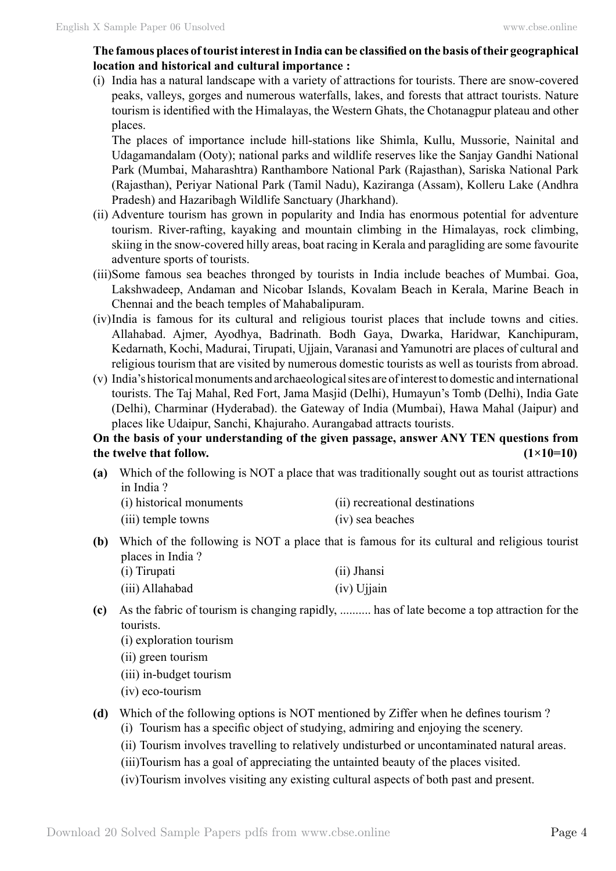### **The famous places of tourist interest in India can be classified on the basis of their geographical location and historical and cultural importance :**

(i) India has a natural landscape with a variety of attractions for tourists. There are snow-covered peaks, valleys, gorges and numerous waterfalls, lakes, and forests that attract tourists. Nature tourism is identified with the Himalayas, the Western Ghats, the Chotanagpur plateau and other places.

The places of importance include hill-stations like Shimla, Kullu, Mussorie, Nainital and Udagamandalam (Ooty); national parks and wildlife reserves like the Sanjay Gandhi National Park (Mumbai, Maharashtra) Ranthambore National Park (Rajasthan), Sariska National Park (Rajasthan), Periyar National Park (Tamil Nadu), Kaziranga (Assam), Kolleru Lake (Andhra Pradesh) and Hazaribagh Wildlife Sanctuary (Jharkhand).

- (ii) Adventure tourism has grown in popularity and India has enormous potential for adventure tourism. River-rafting, kayaking and mountain climbing in the Himalayas, rock climbing, skiing in the snow-covered hilly areas, boat racing in Kerala and paragliding are some favourite adventure sports of tourists.
- (iii)Some famous sea beaches thronged by tourists in India include beaches of Mumbai. Goa, Lakshwadeep, Andaman and Nicobar Islands, Kovalam Beach in Kerala, Marine Beach in Chennai and the beach temples of Mahabalipuram.
- (iv)India is famous for its cultural and religious tourist places that include towns and cities. Allahabad. Ajmer, Ayodhya, Badrinath. Bodh Gaya, Dwarka, Haridwar, Kanchipuram, Kedarnath, Kochi, Madurai, Tirupati, Ujjain, Varanasi and Yamunotri are places of cultural and religious tourism that are visited by numerous domestic tourists as well as tourists from abroad.
- (v) India's historical monuments and archaeological sites are of interest to domestic and international tourists. The Taj Mahal, Red Fort, Jama Masjid (Delhi), Humayun's Tomb (Delhi), India Gate (Delhi), Charminar (Hyderabad). the Gateway of India (Mumbai), Hawa Mahal (Jaipur) and places like Udaipur, Sanchi, Khajuraho. Aurangabad attracts tourists.

# **On the basis of your understanding of the given passage, answer ANY TEN questions from**  the twelve that follow.  $(1 \times 10=10)$

**(a)** Which of the following is NOT a place that was traditionally sought out as tourist attractions in India ?

| (i) historical monuments | (ii) recreational destinations |
|--------------------------|--------------------------------|
| (iii) temple towns       | (iv) sea beaches               |

- **(b)** Which of the following is NOT a place that is famous for its cultural and religious tourist places in India ?
	- (i) Tirupati (ii) Jhansi (iii) Allahabad (iv) Ujjain
- **(c)** As the fabric of tourism is changing rapidly, .......... has of late become a top attraction for the tourists.
	- (i) exploration tourism
	- (ii) green tourism
	- (iii) in-budget tourism
	- (iv) eco-tourism
- **(d)** Which of the following options is NOT mentioned by Ziffer when he defines tourism ?
	- (i) Tourism has a specific object of studying, admiring and enjoying the scenery.
	- (ii) Tourism involves travelling to relatively undisturbed or uncontaminated natural areas.
	- (iii)Tourism has a goal of appreciating the untainted beauty of the places visited.
	- (iv)Tourism involves visiting any existing cultural aspects of both past and present.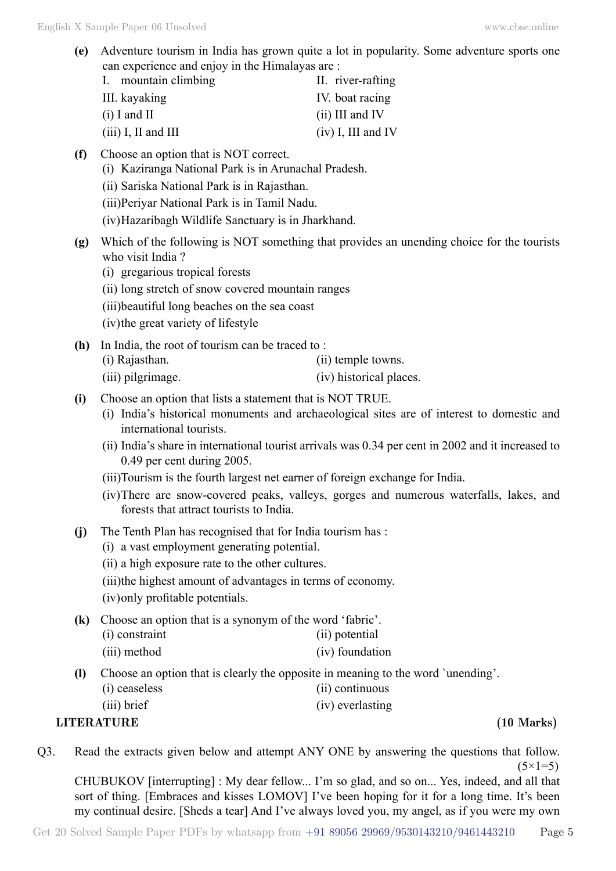- **(e)** Adventure tourism in India has grown quite a lot in popularity. Some adventure sports one can experience and enjoy in the Himalayas are :
	- I. mountain climbing II. river-rafting III. kayaking IV. boat racing (i) I and II (ii) III and IV (iii) I, II and III (iv) I, III and IV
- **(f)** Choose an option that is NOT correct.
	- (i) Kaziranga National Park is in Arunachal Pradesh.
	- (ii) Sariska National Park is in Rajasthan.
	- (iii)Periyar National Park is in Tamil Nadu.
	- (iv)Hazaribagh Wildlife Sanctuary is in Jharkhand.
- **(g)** Which of the following is NOT something that provides an unending choice for the tourists who visit India ?
	- (i) gregarious tropical forests
	- (ii) long stretch of snow covered mountain ranges
	- (iii)beautiful long beaches on the sea coast
	- (iv)the great variety of lifestyle
- **(h)** In India, the root of tourism can be traced to :
	- (i) Rajasthan. (ii) temple towns.
	- (iii) pilgrimage. (iv) historical places.
- **(i)** Choose an option that lists a statement that is NOT TRUE.
	- (i) India's historical monuments and archaeological sites are of interest to domestic and international tourists.
	- (ii) India's share in international tourist arrivals was 0.34 per cent in 2002 and it increased to 0.49 per cent during 2005.
	- (iii)Tourism is the fourth largest net earner of foreign exchange for India.
	- (iv)There are snow-covered peaks, valleys, gorges and numerous waterfalls, lakes, and forests that attract tourists to India.
- **(j)** The Tenth Plan has recognised that for India tourism has :
	- (i) a vast employment generating potential.
	- (ii) a high exposure rate to the other cultures.
	- (iii)the highest amount of advantages in terms of economy.
	- (iv)only profitable potentials.
- **(k)** Choose an option that is a synonym of the word 'fabric'.

| (i) constraint | (ii) potential |
|----------------|----------------|
|----------------|----------------|

- (iii) method (iv) foundation
- **(l)** Choose an option that is clearly the opposite in meaning to the word `unending'.
	- (i) ceaseless (ii) continuous
	- (iii) brief (iv) everlasting

**LITERATURE (10 Marks)**

Q3. Read the extracts given below and attempt ANY ONE by answering the questions that follow.  $(5 \times 1 = 5)$ 

CHUBUKOV [interrupting] : My dear fellow... I'm so glad, and so on... Yes, indeed, and all that sort of thing. [Embraces and kisses LOMOV] I've been hoping for it for a long time. It's been my continual desire. [Sheds a tear] And I've always loved you, my angel, as if you were my own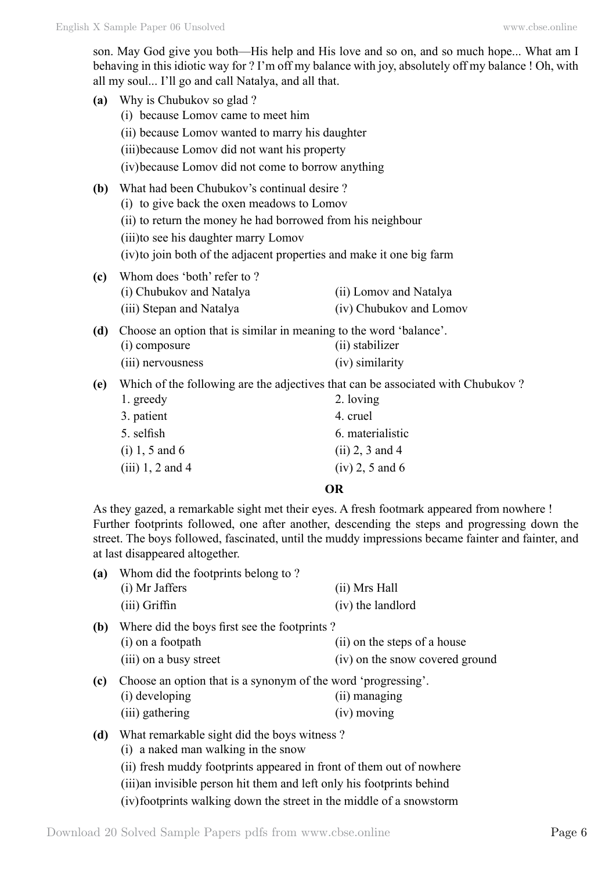son. May God give you both—His help and His love and so on, and so much hope... What am I behaving in this idiotic way for ? I'm off my balance with joy, absolutely off my balance ! Oh, with all my soul... I'll go and call Natalya, and all that.

| (a)                                                         | Why is Chubukov so glad?                                                                                       |                         |  |
|-------------------------------------------------------------|----------------------------------------------------------------------------------------------------------------|-------------------------|--|
|                                                             | (i) because Lomov came to meet him                                                                             |                         |  |
|                                                             | (ii) because Lomov wanted to marry his daughter                                                                |                         |  |
|                                                             | (iii) because Lomov did not want his property                                                                  |                         |  |
|                                                             | (iv) because Lomov did not come to borrow anything                                                             |                         |  |
| (b)                                                         | What had been Chubukov's continual desire?                                                                     |                         |  |
|                                                             | (i) to give back the oxen meadows to Lomov                                                                     |                         |  |
| (ii) to return the money he had borrowed from his neighbour |                                                                                                                |                         |  |
|                                                             | (iii) to see his daughter marry Lomov<br>(iv) to join both of the adjacent properties and make it one big farm |                         |  |
|                                                             |                                                                                                                |                         |  |
| (c)                                                         | Whom does 'both' refer to ?                                                                                    |                         |  |
|                                                             | (i) Chubukov and Natalya                                                                                       | (ii) Lomov and Natalya  |  |
|                                                             | (iii) Stepan and Natalya                                                                                       | (iv) Chubukov and Lomov |  |
| (d)                                                         | Choose an option that is similar in meaning to the word 'balance'.                                             |                         |  |
|                                                             | (i) composure                                                                                                  | (ii) stabilizer         |  |
|                                                             | (iii) nervousness                                                                                              | (iv) similarity         |  |
| (e)                                                         | Which of the following are the adjectives that can be associated with Chubukov?                                |                         |  |
|                                                             | 1. greedy                                                                                                      | 2. loving               |  |
|                                                             | 3. patient                                                                                                     | 4. cruel                |  |
|                                                             | 5. selfish                                                                                                     | 6. materialistic        |  |
|                                                             | $(i) 1, 5$ and 6                                                                                               | $(ii)$ 2, 3 and 4       |  |
|                                                             | $(iii)$ 1, 2 and 4                                                                                             | $(iv)$ 2, 5 and 6       |  |

#### **O**

As they gazed, a remarkable sight met their eyes. A fresh footmark appeared from nowhere ! Further footprints followed, one after another, descending the steps and progressing down the street. The boys followed, fascinated, until the muddy impressions became fainter and fainter, and at last disappeared altogether.

| (a)                                                                  | Whom did the footprints belong to?           |                                 |  |
|----------------------------------------------------------------------|----------------------------------------------|---------------------------------|--|
|                                                                      | (i) Mr Jaffers                               | (ii) Mrs Hall                   |  |
|                                                                      | (iii) Griffin                                | (iv) the landlord               |  |
| (b)                                                                  | Where did the boys first see the footprints? |                                 |  |
|                                                                      | (i) on a footpath                            | (ii) on the steps of a house    |  |
|                                                                      | (iii) on a busy street                       | (iv) on the snow covered ground |  |
| Choose an option that is a synonym of the word 'progressing'.<br>(c) |                                              |                                 |  |
|                                                                      | (i) developing                               | (ii) managing                   |  |
|                                                                      | (iii) gathering                              | $(iv)$ moving                   |  |

- **(d)** What remarkable sight did the boys witness ?
	- (i) a naked man walking in the snow
	- (ii) fresh muddy footprints appeared in front of them out of nowhere (iii)an invisible person hit them and left only his footprints behind (iv)footprints walking down the street in the middle of a snowstorm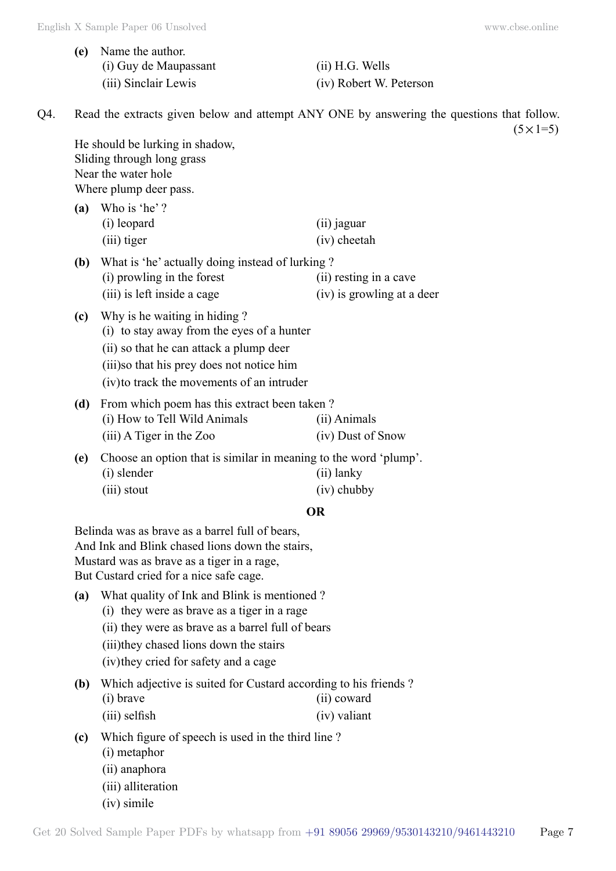**(e)** Name the author. (i) Guy de Maupassant (ii) H.G. Wells (iii) Sinclair Lewis (iv) Robert W. Peterson

Q4. Read the extracts given below and attempt ANY ONE by answering the questions that follow.  $(5 \times 1=5)$ 

He should be lurking in shadow, Sliding through long grass Near the water hole Where plump deer pass.

- **(a)** Who is 'he' ? (i) leopard (ii) jaguar (iii) tiger (iv) cheetah
- **(b)** What is 'he' actually doing instead of lurking ? (i) prowling in the forest (ii) resting in a cave (iii) is left inside a cage (iv) is growling at a deer
- **(c)** Why is he waiting in hiding ? (i) to stay away from the eyes of a hunter (ii) so that he can attack a plump deer (iii)so that his prey does not notice him (iv)to track the movements of an intruder
- **(d)** From which poem has this extract been taken ? (i) How to Tell Wild Animals (ii) Animals (iii) A Tiger in the Zoo (iv) Dust of Snow
- **(e)** Choose an option that is similar in meaning to the word 'plump'. (i) slender (ii) lanky (iii) stout (iv) chubby

### **O**

Belinda was as brave as a barrel full of bears, And Ink and Blink chased lions down the stairs, Mustard was as brave as a tiger in a rage, But Custard cried for a nice safe cage.

- **(a)** What quality of Ink and Blink is mentioned ?
	- (i) they were as brave as a tiger in a rage
	- (ii) they were as brave as a barrel full of bears
	- (iii)they chased lions down the stairs
	- (iv)they cried for safety and a cage
- **(b)** Which adjective is suited for Custard according to his friends ? (i) brave (ii) coward
	- (iii) selfish (iv) valiant
- **(c)** Which figure of speech is used in the third line ? (i) metaphor (ii) anaphora (iii) alliteration
	- (iv) simile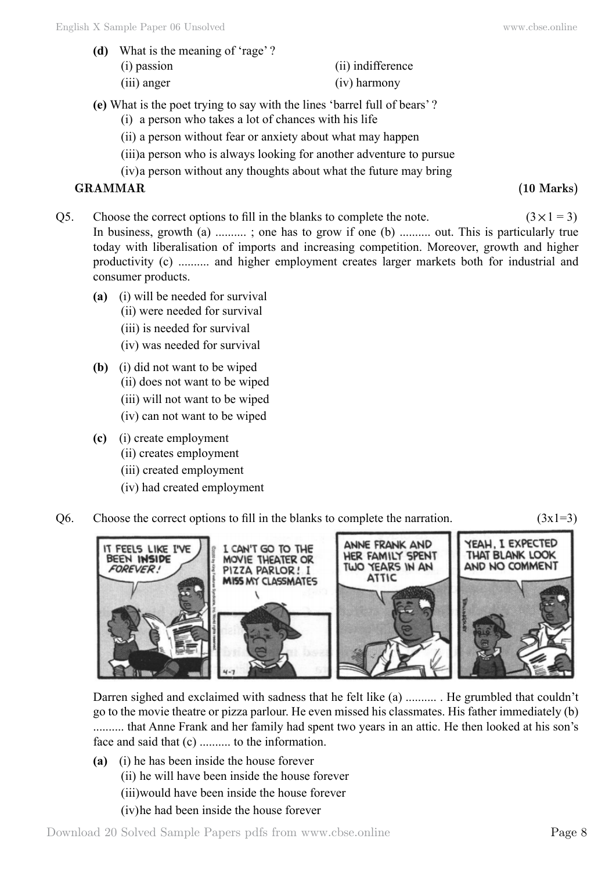**(d)** What is the meaning of 'rage' ? (i) passion (ii) indifference

#### (iii) anger (iv) harmony

- **(e)** What is the poet trying to say with the lines 'barrel full of bears' ?
	- (i) a person who takes a lot of chances with his life
	- (ii) a person without fear or anxiety about what may happen
	- (iii)a person who is always looking for another adventure to pursue
	- (iv)a person without any thoughts about what the future may bring

# **GRAMMAR (10 Marks)**

Q5. Choose the correct options to fill in the blanks to complete the note.  $(3 \times 1 = 3)$ 

In business, growth (a) ..........; one has to grow if one (b) .......... out. This is particularly true today with liberalisation of imports and increasing competition. Moreover, growth and higher productivity (c) .......... and higher employment creates larger markets both for industrial and consumer products.

- **(a)** (i) will be needed for survival
	- (ii) were needed for survival
	- (iii) is needed for survival
	- (iv) was needed for survival
- **(b)** (i) did not want to be wiped (ii) does not want to be wiped
	- (iii) will not want to be wiped
	- (iv) can not want to be wiped
- **(c)** (i) create employment
	- (ii) creates employment
	- (iii) created employment
	- (iv) had created employment
- Q6. Choose the correct options to fill in the blanks to complete the narration.  $(3x1=3)$



Darren sighed and exclaimed with sadness that he felt like (a) .......... . He grumbled that couldn't go to the movie theatre or pizza parlour. He even missed his classmates. His father immediately (b) .......... that Anne Frank and her family had spent two years in an attic. He then looked at his son's face and said that (c) .......... to the information.

**(a)** (i) he has been inside the house forever (ii) he will have been inside the house forever (iii)would have been inside the house forever (iv)he had been inside the house forever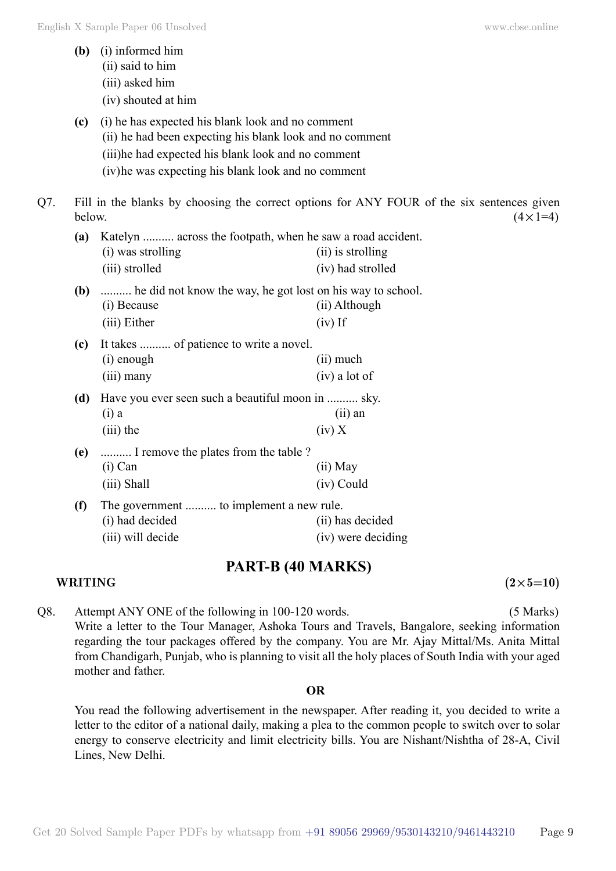|     | (b)    | (i) informed him<br>(ii) said to him<br>(iii) asked him<br>(iv) shouted at him                                                                                                                                             |                                                                                                                |  |
|-----|--------|----------------------------------------------------------------------------------------------------------------------------------------------------------------------------------------------------------------------------|----------------------------------------------------------------------------------------------------------------|--|
|     | (c)    | (i) he has expected his blank look and no comment<br>(ii) he had been expecting his blank look and no comment<br>(iii)he had expected his blank look and no comment<br>(iv) he was expecting his blank look and no comment |                                                                                                                |  |
| Q7. | below. |                                                                                                                                                                                                                            | Fill in the blanks by choosing the correct options for ANY FOUR of the six sentences given<br>$(4 \times 1=4)$ |  |
|     | (a)    | Katelyn  across the footpath, when he saw a road accident.<br>(i) was strolling<br>(iii) strolled                                                                                                                          | (ii) is strolling<br>(iv) had strolled                                                                         |  |
|     | (b)    | he did not know the way, he got lost on his way to school.<br>(i) Because<br>(iii) Either                                                                                                                                  | (ii) Although<br>$(iv)$ If                                                                                     |  |
|     | (c)    | It takes  of patience to write a novel.<br>(i) enough<br>$(iii)$ many                                                                                                                                                      | (ii) much<br>(iv) a lot of                                                                                     |  |
|     | (d)    | Have you ever seen such a beautiful moon in  sky.<br>$(i)$ a<br>$(iii)$ the                                                                                                                                                | $(ii)$ an<br>(iv) X                                                                                            |  |
|     | (e)    | I remove the plates from the table?<br>$(i)$ Can<br>(iii) Shall                                                                                                                                                            | (ii) May<br>(iv) Could                                                                                         |  |
|     | (f)    | The government  to implement a new rule.<br>(i) had decided<br>(iii) will decide                                                                                                                                           | (ii) has decided<br>(iv) were deciding                                                                         |  |

# **PART-B (40 Marks)**

### **WRITING**  $(2 \times 5=10)$

Q8. Attempt ANY ONE of the following in 100-120 words. (5 Marks) Write a letter to the Tour Manager, Ashoka Tours and Travels, Bangalore, seeking information regarding the tour packages offered by the company. You are Mr. Ajay Mittal/Ms. Anita Mittal from Chandigarh, Punjab, who is planning to visit all the holy places of South India with your aged mother and father.

#### **O**

You read the following advertisement in the newspaper. After reading it, you decided to write a letter to the editor of a national daily, making a plea to the common people to switch over to solar energy to conserve electricity and limit electricity bills. You are Nishant/Nishtha of 28-A, Civil Lines, New Delhi.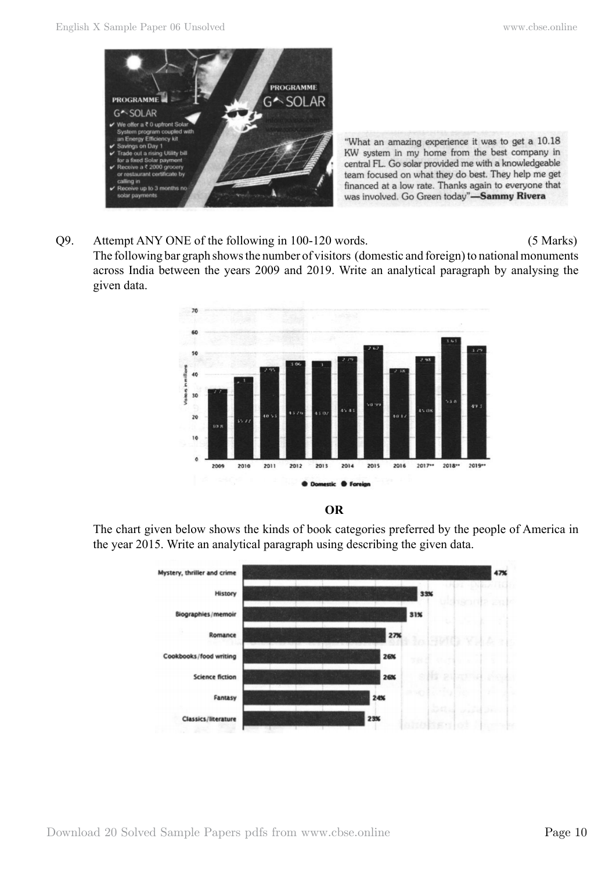

"What an amazing experience it was to get a 10.18 KW system in my home from the best company in central FL. Go solar provided me with a knowledgeable team focused on what they do best. They help me get financed at a low rate. Thanks again to everyone that was involved. Go Green today"-Sammy Rivera

# Q9. Attempt ANY ONE of the following in 100-120 words. (5 Marks)

The following bar graph shows the number of visitors (domestic and foreign) to national monuments across India between the years 2009 and 2019. Write an analytical paragraph by analysing the given data.





The chart given below shows the kinds of book categories preferred by the people of America in the year 2015. Write an analytical paragraph using describing the given data.